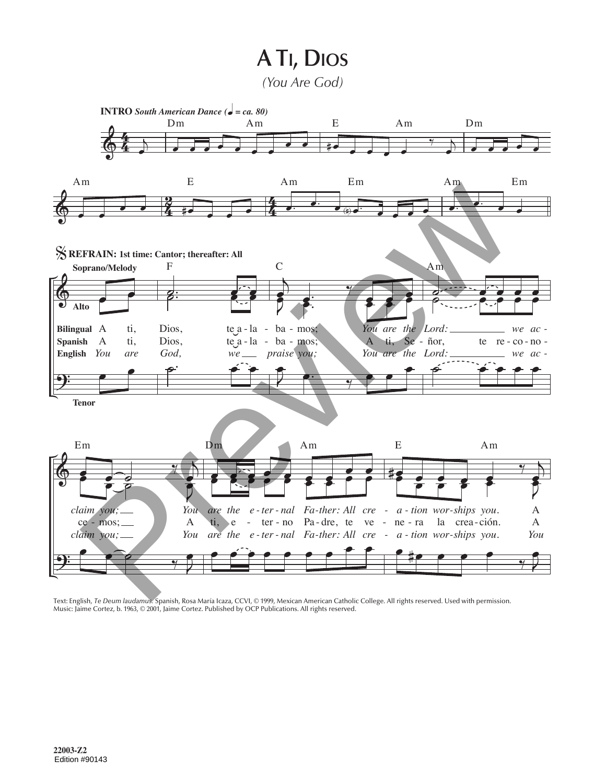## **A TI, DIOS**

*(You Are God)*



Text: English, *Te Deum laudamus.* Spanish, Rosa María Icaza, CCVI, © 1999, Mexican American Catholic College. All rights reserved. Used with permission. Music: Jaime Cortez, b. 1963, © 2001, Jaime Cortez. Published by OCP Publications. All rights reserved.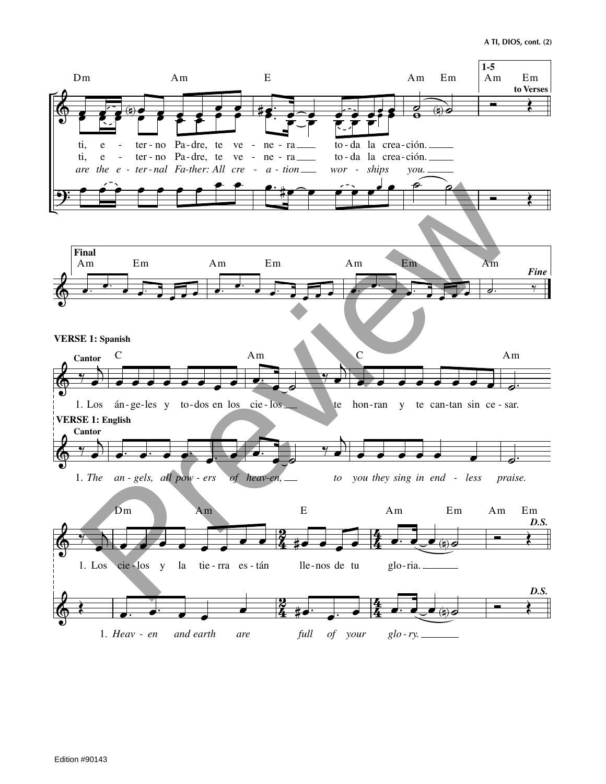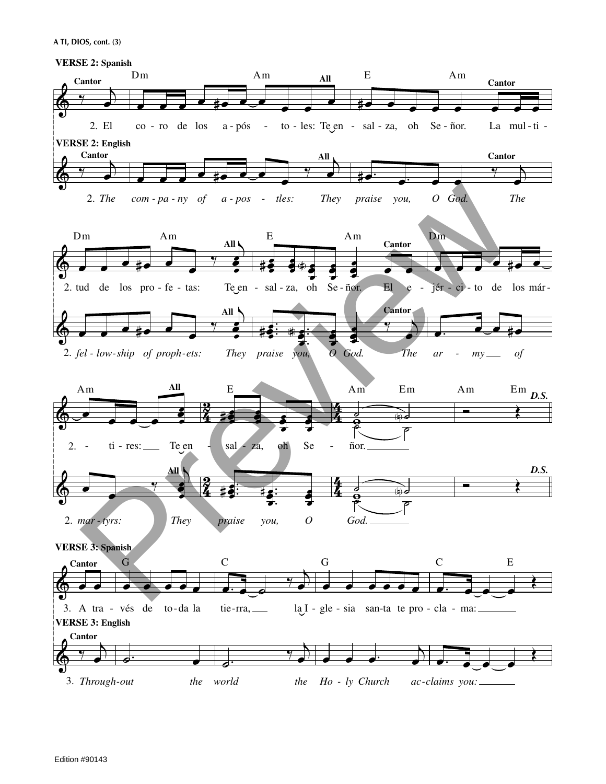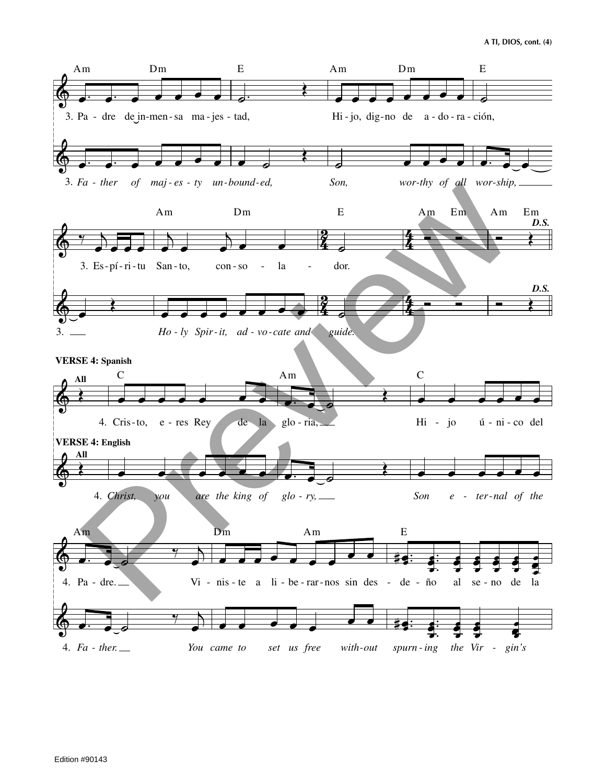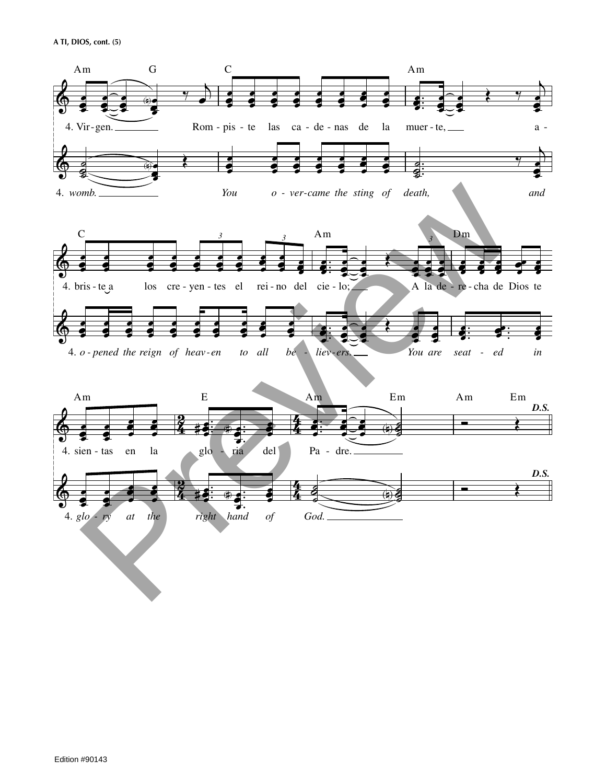